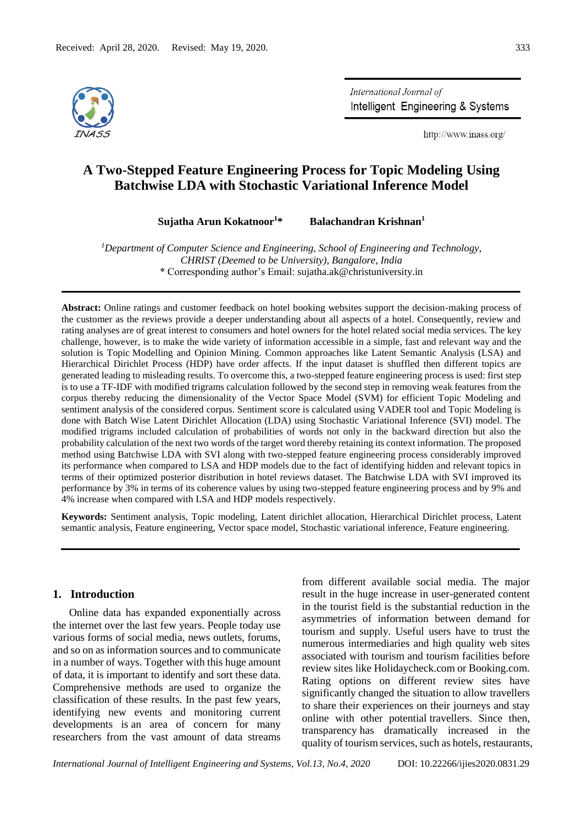

International Journal of Intelligent Engineering & Systems

http://www.inass.org/

# **A Two-Stepped Feature Engineering Process for Topic Modeling Using Batchwise LDA with Stochastic Variational Inference Model**

**Sujatha Arun Kokatnoor<sup>1</sup>\* Balachandran Krishnan<sup>1</sup>**

*<sup>1</sup>Department of Computer Science and Engineering, School of Engineering and Technology, CHRIST (Deemed to be University), Bangalore, India* \* Corresponding author's Email: sujatha.ak@christuniversity.in

**Abstract:** Online ratings and customer feedback on hotel booking websites support the decision-making process of the customer as the reviews provide a deeper understanding about all aspects of a hotel. Consequently, review and rating analyses are of great interest to consumers and hotel owners for the hotel related social media services. The key challenge, however, is to make the wide variety of information accessible in a simple, fast and relevant way and the solution is Topic Modelling and Opinion Mining. Common approaches like Latent Semantic Analysis (LSA) and Hierarchical Dirichlet Process (HDP) have order affects. If the input dataset is shuffled then different topics are generated leading to misleading results. To overcome this, a two-stepped feature engineering process is used: first step is to use a TF-IDF with modified trigrams calculation followed by the second step in removing weak features from the corpus thereby reducing the dimensionality of the Vector Space Model (SVM) for efficient Topic Modeling and sentiment analysis of the considered corpus. Sentiment score is calculated using VADER tool and Topic Modeling is done with Batch Wise Latent Dirichlet Allocation (LDA) using Stochastic Variational Inference (SVI) model. The modified trigrams included calculation of probabilities of words not only in the backward direction but also the probability calculation of the next two words of the target word thereby retaining its context information. The proposed method using Batchwise LDA with SVI along with two-stepped feature engineering process considerably improved its performance when compared to LSA and HDP models due to the fact of identifying hidden and relevant topics in terms of their optimized posterior distribution in hotel reviews dataset. The Batchwise LDA with SVI improved its performance by 3% in terms of its coherence values by using two-stepped feature engineering process and by 9% and 4% increase when compared with LSA and HDP models respectively.

**Keywords:** Sentiment analysis, Topic modeling, Latent dirichlet allocation, Hierarchical Dirichlet process, Latent semantic analysis, Feature engineering, Vector space model, Stochastic variational inference, Feature engineering.

# **1. Introduction**

Online data has expanded exponentially across the internet over the last few years. People today use various forms of social media, news outlets, forums, and so on as information sources and to communicate in a number of ways. Together with this huge amount of data, it is important to identify and sort these data. Comprehensive methods are used to organize the classification of these results. In the past few years, identifying new events and monitoring current developments is an area of concern for many researchers from the vast amount of data streams

from different available social media. The major result in the huge increase in user-generated content in the tourist field is the substantial reduction in the asymmetries of information between demand for tourism and supply. Useful users have to trust the numerous intermediaries and high quality web sites associated with tourism and tourism facilities before review sites like Holidaycheck.com or Booking.com. Rating options on different review sites have significantly changed the situation to allow travellers to share their experiences on their journeys and stay online with other potential travellers. Since then, transparency has dramatically increased in the quality of tourism services, such as hotels, restaurants,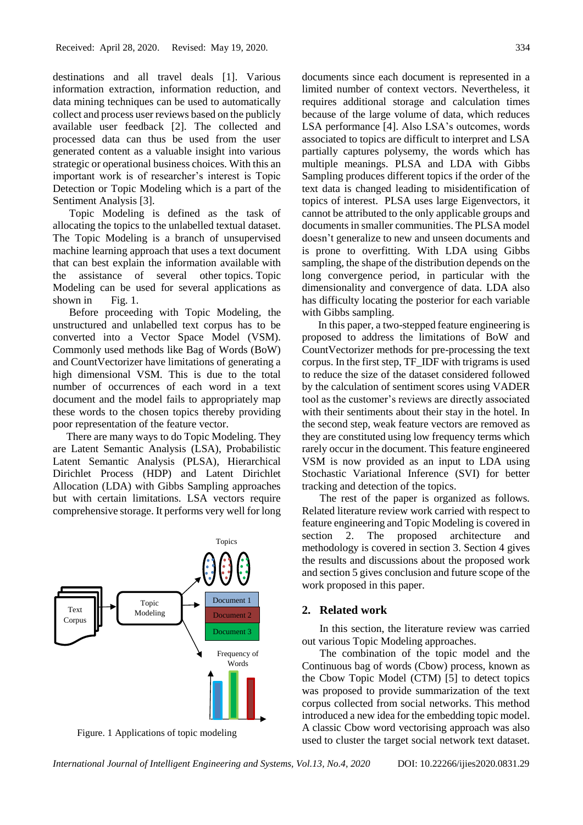destinations and all travel deals [1]. Various information extraction, information reduction, and data mining techniques can be used to automatically collect and process user reviews based on the publicly available user feedback [2]. The collected and processed data can thus be used from the user generated content as a valuable insight into various strategic or operational business choices. With this an important work is of researcher's interest is Topic Detection or Topic Modeling which is a part of the Sentiment Analysis [3].

Topic Modeling is defined as the task of allocating the topics to the unlabelled textual dataset. The Topic Modeling is a branch of unsupervised machine learning approach that uses a text document that can best explain the information available with the assistance of several other topics. Topic Modeling can be used for several applications as shown in Fig. 1.

Before proceeding with Topic Modeling, the unstructured and unlabelled text corpus has to be converted into a Vector Space Model (VSM). Commonly used methods like Bag of Words (BoW) and CountVectorizer have limitations of generating a high dimensional VSM. This is due to the total number of occurrences of each word in a text document and the model fails to appropriately map these words to the chosen topics thereby providing poor representation of the feature vector.

 There are many ways to do Topic Modeling. They are Latent Semantic Analysis (LSA), Probabilistic Latent Semantic Analysis (PLSA), Hierarchical Dirichlet Process (HDP) and Latent Dirichlet Allocation (LDA) with Gibbs Sampling approaches but with certain limitations. LSA vectors require comprehensive storage. It performs very well for long



Figure. 1 Applications of topic modeling

documents since each document is represented in a limited number of context vectors. Nevertheless, it requires additional storage and calculation times because of the large volume of data, which reduces LSA performance [4]. Also LSA's outcomes, words associated to topics are difficult to interpret and LSA partially captures polysemy, the words which has multiple meanings. PLSA and LDA with Gibbs Sampling produces different topics if the order of the text data is changed leading to misidentification of topics of interest. PLSA uses large Eigenvectors, it cannot be attributed to the only applicable groups and documents in smaller communities. The PLSA model doesn't generalize to new and unseen documents and is prone to overfitting. With LDA using Gibbs sampling, the shape of the distribution depends on the long convergence period, in particular with the dimensionality and convergence of data. LDA also has difficulty locating the posterior for each variable with Gibbs sampling.

In this paper, a two-stepped feature engineering is proposed to address the limitations of BoW and CountVectorizer methods for pre-processing the text corpus. In the first step, TF\_IDF with trigrams is used to reduce the size of the dataset considered followed by the calculation of sentiment scores using VADER tool as the customer's reviews are directly associated with their sentiments about their stay in the hotel. In the second step, weak feature vectors are removed as they are constituted using low frequency terms which rarely occur in the document. This feature engineered VSM is now provided as an input to LDA using Stochastic Variational Inference (SVI) for better tracking and detection of the topics.

The rest of the paper is organized as follows. Related literature review work carried with respect to feature engineering and Topic Modeling is covered in section 2. The proposed architecture and methodology is covered in section 3. Section 4 gives the results and discussions about the proposed work and section 5 gives conclusion and future scope of the work proposed in this paper.

# **2. Related work**

In this section, the literature review was carried out various Topic Modeling approaches.

The combination of the topic model and the Continuous bag of words (Cbow) process, known as the Cbow Topic Model (CTM) [5] to detect topics was proposed to provide summarization of the text corpus collected from social networks. This method introduced a new idea for the embedding topic model. A classic Cbow word vectorising approach was also used to cluster the target social network text dataset.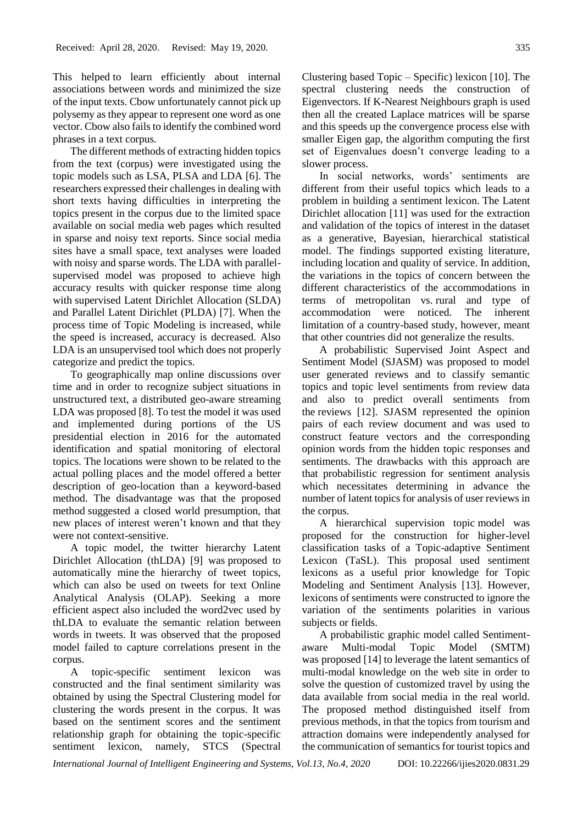This helped to learn efficiently about internal associations between words and minimized the size of the input texts. Cbow unfortunately cannot pick up polysemy as they appear to represent one word as one vector. Cbow also fails to identify the combined word phrases in a text corpus.

The different methods of extracting hidden topics from the text (corpus) were investigated using the topic models such as LSA, PLSA and LDA [6]. The researchers expressed their challenges in dealing with short texts having difficulties in interpreting the topics present in the corpus due to the limited space available on social media web pages which resulted in sparse and noisy text reports. Since social media sites have a small space, text analyses were loaded with noisy and sparse words. The LDA with parallelsupervised model was proposed to achieve high accuracy results with quicker response time along with supervised Latent Dirichlet Allocation (SLDA) and Parallel Latent Dirichlet (PLDA) [7]. When the process time of Topic Modeling is increased, while the speed is increased, accuracy is decreased. Also LDA is an unsupervised tool which does not properly categorize and predict the topics.

To geographically map online discussions over time and in order to recognize subject situations in unstructured text, a distributed geo-aware streaming LDA was proposed [8]. To test the model it was used and implemented during portions of the US presidential election in 2016 for the automated identification and spatial monitoring of electoral topics. The locations were shown to be related to the actual polling places and the model offered a better description of geo-location than a keyword-based method. The disadvantage was that the proposed method suggested a closed world presumption, that new places of interest weren't known and that they were not context-sensitive.

A topic model, the twitter hierarchy Latent Dirichlet Allocation (thLDA) [9] was proposed to automatically mine the hierarchy of tweet topics, which can also be used on tweets for text Online Analytical Analysis (OLAP). Seeking a more efficient aspect also included the word2vec used by thLDA to evaluate the semantic relation between words in tweets. It was observed that the proposed model failed to capture correlations present in the corpus.

A topic-specific sentiment lexicon was constructed and the final sentiment similarity was obtained by using the Spectral Clustering model for clustering the words present in the corpus. It was based on the sentiment scores and the sentiment relationship graph for obtaining the topic-specific sentiment lexicon, namely, STCS (Spectral

Clustering based Topic – Specific) lexicon [10]. The spectral clustering needs the construction of Eigenvectors. If K-Nearest Neighbours graph is used then all the created Laplace matrices will be sparse and this speeds up the convergence process else with smaller Eigen gap, the algorithm computing the first set of Eigenvalues doesn't converge leading to a slower process.

In social networks, words' sentiments are different from their useful topics which leads to a problem in building a sentiment lexicon. The Latent Dirichlet allocation [11] was used for the extraction and validation of the topics of interest in the dataset as a generative, Bayesian, hierarchical statistical model. The findings supported existing literature, including location and quality of service. In addition, the variations in the topics of concern between the different characteristics of the accommodations in terms of metropolitan vs. rural and type of accommodation were noticed. The inherent limitation of a country-based study, however, meant that other countries did not generalize the results.

A probabilistic Supervised Joint Aspect and Sentiment Model (SJASM) was proposed to model user generated reviews and to classify semantic topics and topic level sentiments from review data and also to predict overall sentiments from the reviews [12]. SJASM represented the opinion pairs of each review document and was used to construct feature vectors and the corresponding opinion words from the hidden topic responses and sentiments. The drawbacks with this approach are that probabilistic regression for sentiment analysis which necessitates determining in advance the number of latent topics for analysis of user reviews in the corpus.

A hierarchical supervision topic model was proposed for the construction for higher-level classification tasks of a Topic-adaptive Sentiment Lexicon (TaSL). This proposal used sentiment lexicons as a useful prior knowledge for Topic Modeling and Sentiment Analysis [13]. However, lexicons of sentiments were constructed to ignore the variation of the sentiments polarities in various subjects or fields.

A probabilistic graphic model called Sentimentaware Multi-modal Topic Model (SMTM) was proposed [14] to leverage the latent semantics of multi-modal knowledge on the web site in order to solve the question of customized travel by using the data available from social media in the real world. The proposed method distinguished itself from previous methods, in that the topics from tourism and attraction domains were independently analysed for the communication of semantics for tourist topics and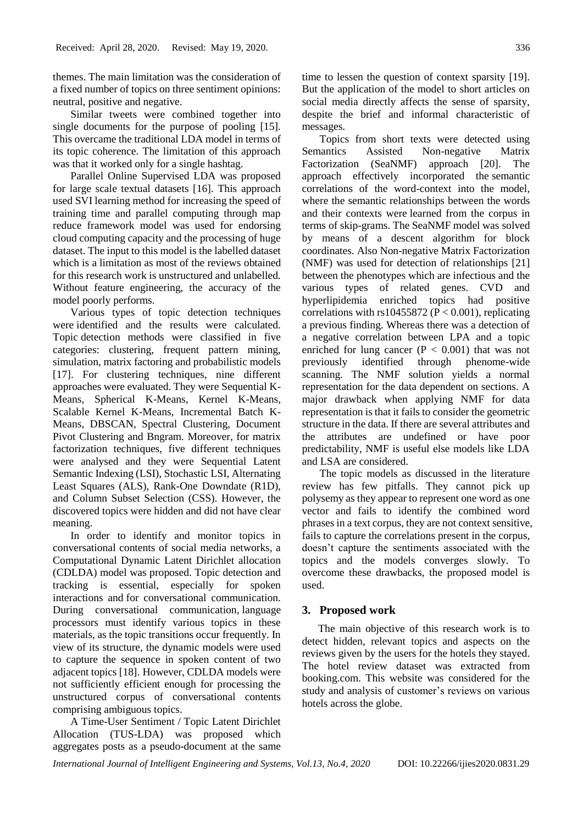themes. The main limitation was the consideration of a fixed number of topics on three sentiment opinions: neutral, positive and negative.

Similar tweets were combined together into single documents for the purpose of pooling [15]. This overcame the traditional LDA model in terms of its topic coherence. The limitation of this approach was that it worked only for a single hashtag.

Parallel Online Supervised LDA was proposed for large scale textual datasets [16]. This approach used SVI learning method for increasing the speed of training time and parallel computing through map reduce framework model was used for endorsing cloud computing capacity and the processing of huge dataset. The input to this model is the labelled dataset which is a limitation as most of the reviews obtained for this research work is unstructured and unlabelled. Without feature engineering, the accuracy of the model poorly performs.

Various types of topic detection techniques were identified and the results were calculated. Topic detection methods were classified in five categories: clustering, frequent pattern mining, simulation, matrix factoring and probabilistic models [17]. For clustering techniques, nine different approaches were evaluated. They were Sequential K-Means, Spherical K-Means, Kernel K-Means, Scalable Kernel K-Means, Incremental Batch K-Means, DBSCAN, Spectral Clustering, Document Pivot Clustering and Bngram. Moreover, for matrix factorization techniques, five different techniques were analysed and they were Sequential Latent Semantic Indexing (LSI), Stochastic LSI, Alternating Least Squares (ALS), Rank-One Downdate (R1D), and Column Subset Selection (CSS). However, the discovered topics were hidden and did not have clear meaning.

In order to identify and monitor topics in conversational contents of social media networks, a Computational Dynamic Latent Dirichlet allocation (CDLDA) model was proposed. Topic detection and tracking is essential, especially for spoken interactions and for conversational communication. During conversational communication, language processors must identify various topics in these materials, as the topic transitions occur frequently. In view of its structure, the dynamic models were used to capture the sequence in spoken content of two adjacent topics [18]. However, CDLDA models were not sufficiently efficient enough for processing the unstructured corpus of conversational contents comprising ambiguous topics.

A Time-User Sentiment / Topic Latent Dirichlet Allocation (TUS-LDA) was proposed which aggregates posts as a pseudo-document at the same time to lessen the question of context sparsity [19]. But the application of the model to short articles on social media directly affects the sense of sparsity, despite the brief and informal characteristic of messages.

Topics from short texts were detected using Semantics Assisted Non-negative Matrix Factorization (SeaNMF) approach [20]. The approach effectively incorporated the semantic correlations of the word-context into the model, where the semantic relationships between the words and their contexts were learned from the corpus in terms of skip-grams. The SeaNMF model was solved by means of a descent algorithm for block coordinates. Also Non-negative Matrix Factorization (NMF) was used for detection of relationships [21] between the phenotypes which are infectious and the various types of related genes. CVD and hyperlipidemia enriched topics had positive correlations with rs10455872 ( $P < 0.001$ ), replicating a previous finding. Whereas there was a detection of a negative correlation between LPA and a topic enriched for lung cancer  $(P < 0.001)$  that was not previously identified through phenome-wide scanning. The NMF solution yields a normal representation for the data dependent on sections. A major drawback when applying NMF for data representation is that it fails to consider the geometric structure in the data. If there are several attributes and the attributes are undefined or have poor predictability, NMF is useful else models like LDA and LSA are considered.

The topic models as discussed in the literature review has few pitfalls. They cannot pick up polysemy as they appear to represent one word as one vector and fails to identify the combined word phrases in a text corpus, they are not context sensitive, fails to capture the correlations present in the corpus, doesn't capture the sentiments associated with the topics and the models converges slowly. To overcome these drawbacks, the proposed model is used.

# **3. Proposed work**

The main objective of this research work is to detect hidden, relevant topics and aspects on the reviews given by the users for the hotels they stayed. The hotel review dataset was extracted from booking.com. This website was considered for the study and analysis of customer's reviews on various hotels across the globe.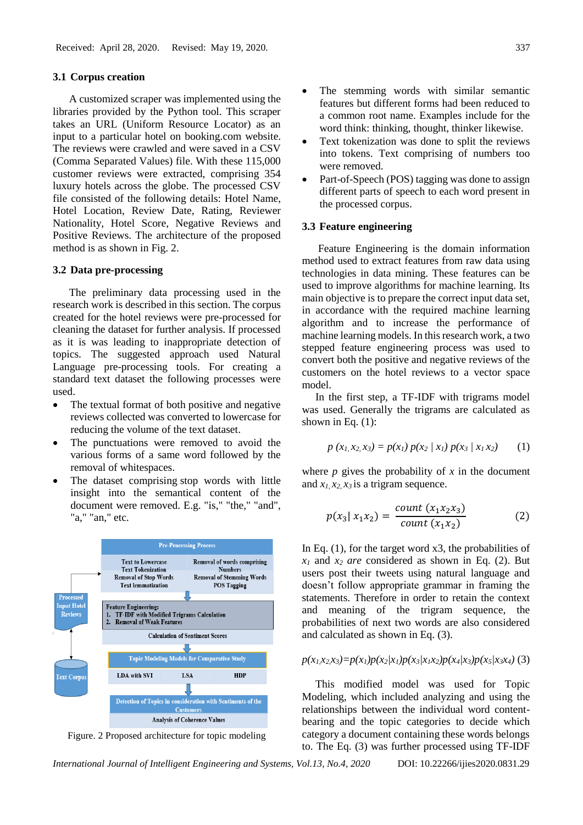# **3.1 Corpus creation**

A customized scraper was implemented using the libraries provided by the Python tool. This scraper takes an URL (Uniform Resource Locator) as an input to a particular hotel on booking.com website. The reviews were crawled and were saved in a CSV (Comma Separated Values) file. With these 115,000 customer reviews were extracted, comprising 354 luxury hotels across the globe. The processed CSV file consisted of the following details: Hotel Name, Hotel Location, Review Date, Rating, Reviewer Nationality, Hotel Score, Negative Reviews and Positive Reviews. The architecture of the proposed method is as shown in Fig. 2.

#### **3.2 Data pre-processing**

The preliminary data processing used in the research work is described in this section. The corpus created for the hotel reviews were pre-processed for cleaning the dataset for further analysis. If processed as it is was leading to inappropriate detection of topics. The suggested approach used Natural Language pre-processing tools. For creating a standard text dataset the following processes were used.

- The textual format of both positive and negative reviews collected was converted to lowercase for reducing the volume of the text dataset.
- The punctuations were removed to avoid the various forms of a same word followed by the removal of whitespaces.
- The dataset comprising stop words with little insight into the semantical content of the document were removed. E.g. "is," "the," "and", "a," "an," etc.



Figure. 2 Proposed architecture for topic modeling

The stemming words with similar semantic features but different forms had been reduced to a common root name. Examples include for the word think: thinking, thought, thinker likewise.

- Text tokenization was done to split the reviews into tokens. Text comprising of numbers too were removed.
- Part-of-Speech (POS) tagging was done to assign different parts of speech to each word present in the processed corpus.

### **3.3 Feature engineering**

Feature Engineering is the domain information method used to extract features from raw data using technologies in data mining. These features can be used to improve algorithms for machine learning. Its main objective is to prepare the correct input data set, in accordance with the required machine learning algorithm and to increase the performance of machine learning models. In this research work, a two stepped feature engineering process was used to convert both the positive and negative reviews of the customers on the hotel reviews to a vector space model.

 In the first step, a TF-IDF with trigrams model was used. Generally the trigrams are calculated as shown in Eq.  $(1)$ :

$$
p(x_1, x_2, x_3) = p(x_1) p(x_2 | x_1) p(x_3 | x_1 x_2)
$$
 (1)

where  $p$  gives the probability of  $x$  in the document and  $x_1, x_2, x_3$  is a trigram sequence.

$$
p(x_3 | x_1 x_2) = \frac{count(x_1 x_2 x_3)}{count(x_1 x_2)}
$$
 (2)

In Eq.  $(1)$ , for the target word x3, the probabilities of  $x_1$  and  $x_2$  *are* considered as shown in Eq. (2). But users post their tweets using natural language and doesn't follow appropriate grammar in framing the statements. Therefore in order to retain the context and meaning of the trigram sequence, the probabilities of next two words are also considered and calculated as shown in Eq. (3).

# $p(x_1,x_2,x_3)=p(x_1)p(x_2|x_1)p(x_3|x_1x_2)p(x_4|x_3)p(x_5|x_3x_4)$  (3)

 This modified model was used for Topic Modeling, which included analyzing and using the relationships between the individual word contentbearing and the topic categories to decide which category a document containing these words belongs to. The Eq. (3) was further processed using TF-IDF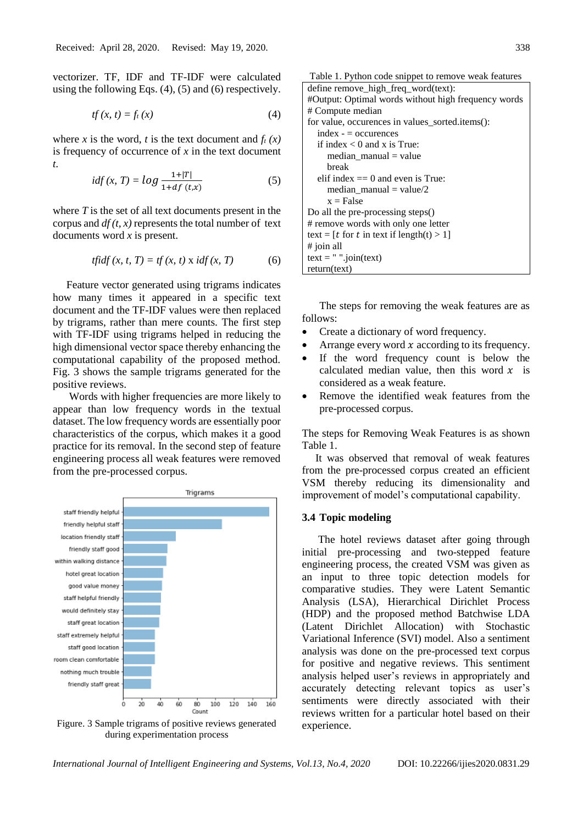vectorizer. TF, IDF and TF-IDF were calculated using the following Eqs. (4), (5) and (6) respectively.

$$
tf(x, t) = f_t(x) \tag{4}
$$

where *x* is the word, *t* is the text document and  $f_t(x)$ is frequency of occurrence of *x* in the text document *t.*

$$
idf(x, T) = log \frac{1 + |T|}{1 + df (t, x)}
$$
(5)

where *T* is the set of all text documents present in the corpus and  $df(t, x)$  represents the total number of text documents word *x* is present.

$$
tfidf(x, t, T) = tf(x, t) \times idf(x, T)
$$
 (6)

 Feature vector generated using trigrams indicates how many times it appeared in a specific text document and the TF-IDF values were then replaced by trigrams, rather than mere counts. The first step with TF-IDF using trigrams helped in reducing the high dimensional vector space thereby enhancing the computational capability of the proposed method. Fig. 3 shows the sample trigrams generated for the positive reviews.

Words with higher frequencies are more likely to appear than low frequency words in the textual dataset. The low frequency words are essentially poor characteristics of the corpus, which makes it a good practice for its removal. In the second step of feature engineering process all weak features were removed from the pre-processed corpus.



Figure. 3 Sample trigrams of positive reviews generated during experimentation process

Table 1. Python code snippet to remove weak features define remove\_high\_freq\_word(text): #Output: Optimal words without high frequency words # Compute median for value, occurences in values\_sorted.items(): index - = occurences if index  $< 0$  and x is True: median\_manual = value break elif index  $== 0$  and even is True: median  $manual = value/2$  $x = False$ Do all the pre-processing steps() # remove words with only one letter text =  $[t$  for  $t$  in text if length $(t) > 1$ ] # join all text =  $"$  ".join(text) return(text)

The steps for removing the weak features are as follows:

- Create a dictionary of word frequency.
- Arrange every word  $x$  according to its frequency.
- If the word frequency count is below the calculated median value, then this word  $x$  is considered as a weak feature.
- Remove the identified weak features from the pre-processed corpus.

The steps for Removing Weak Features is as shown Table 1.

 It was observed that removal of weak features from the pre-processed corpus created an efficient VSM thereby reducing its dimensionality and improvement of model's computational capability.

# **3.4 Topic modeling**

The hotel reviews dataset after going through initial pre-processing and two-stepped feature engineering process, the created VSM was given as an input to three topic detection models for comparative studies. They were Latent Semantic Analysis (LSA), Hierarchical Dirichlet Process (HDP) and the proposed method Batchwise LDA (Latent Dirichlet Allocation) with Stochastic Variational Inference (SVI) model. Also a sentiment analysis was done on the pre-processed text corpus for positive and negative reviews. This sentiment analysis helped user's reviews in appropriately and accurately detecting relevant topics as user's sentiments were directly associated with their reviews written for a particular hotel based on their experience.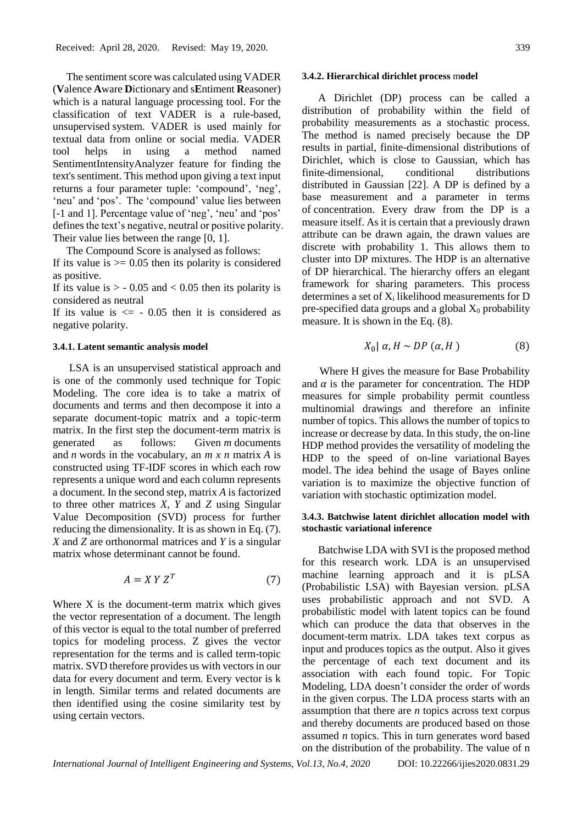The sentiment score was calculated using VADER (**V**alence **A**ware **D**ictionary and s**E**ntiment **R**easoner) which is a natural language processing tool. For the classification of text VADER is a rule-based, unsupervised system. VADER is used mainly for textual data from online or social media. VADER tool helps in using a method named SentimentIntensityAnalyzer feature for finding the text's sentiment. This method upon giving a text input returns a four parameter tuple: 'compound', 'neg', 'neu' and 'pos'. The 'compound' value lies between [-1 and 1]. Percentage value of 'neg', 'neu' and 'pos' defines the text's negative, neutral or positive polarity. Their value lies between the range [0, 1].

 The Compound Score is analysed as follows: If its value is  $\ge$  0.05 then its polarity is considered as positive.

If its value is  $> -0.05$  and  $< 0.05$  then its polarity is considered as neutral

If its value is  $\leq$  - 0.05 then it is considered as negative polarity.

## **3.4.1. Latent semantic analysis model**

LSA is an unsupervised statistical approach and is one of the commonly used technique for Topic Modeling. The core idea is to take a matrix of documents and terms and then decompose it into a separate document-topic matrix and a topic-term matrix. In the first step the document-term matrix is generated as follows: Given *m* documents and *n* words in the vocabulary, an *m x n* matrix *A* is constructed using TF-IDF scores in which each row represents a unique word and each column represents a document. In the second step, matrix *A* is factorized to three other matrices *X, Y* and *Z* using Singular Value Decomposition (SVD) process for further reducing the dimensionality*.* It is as shown in Eq. (7). *X* and *Z* are orthonormal matrices and *Y* is a singular matrix whose determinant cannot be found.

$$
A = X Y Z^T \tag{7}
$$

Where X is the document-term matrix which gives the vector representation of a document. The length of this vector is equal to the total number of preferred topics for modeling process. Z gives the vector representation for the terms and is called term-topic matrix. SVD therefore provides us with vectors in our data for every document and term. Every vector is k in length. Similar terms and related documents are then identified using the cosine similarity test by using certain vectors.

#### **3.4.2. Hierarchical dirichlet process** m**odel**

A Dirichlet (DP) process can be called a distribution of probability within the field of probability measurements as a stochastic process. The method is named precisely because the DP results in partial, finite-dimensional distributions of Dirichlet, which is close to Gaussian, which has finite-dimensional, conditional distributions distributed in Gaussian [22]. A DP is defined by a base measurement and a parameter in terms of concentration. Every draw from the DP is a measure itself. As it is certain that a previously drawn attribute can be drawn again, the drawn values are discrete with probability 1. This allows them to cluster into DP mixtures. The HDP is an alternative of DP hierarchical. The hierarchy offers an elegant framework for sharing parameters. This process determines a set of  $X_i$  likelihood measurements for D pre-specified data groups and a global  $X_0$  probability measure. It is shown in the Eq. (8).

$$
X_0 \mid \alpha, H \sim DP\left(\alpha, H\right) \tag{8}
$$

Where H gives the measure for Base Probability and  $\alpha$  is the parameter for concentration. The HDP measures for simple probability permit countless multinomial drawings and therefore an infinite number of topics. This allows the number of topics to increase or decrease by data. In this study, the on-line HDP method provides the versatility of modeling the HDP to the speed of on-line variational Bayes model. The idea behind the usage of Bayes online variation is to maximize the objective function of variation with stochastic optimization model.

# **3.4.3. Batchwise latent dirichlet allocation model with stochastic variational inference**

Batchwise LDA with SVI is the proposed method for this research work. LDA is an unsupervised machine learning approach and it is pLSA (Probabilistic LSA) with Bayesian version. pLSA uses probabilistic approach and not SVD. A probabilistic model with latent topics can be found which can produce the data that observes in the document-term matrix. LDA takes text corpus as input and produces topics as the output. Also it gives the percentage of each text document and its association with each found topic. For Topic Modeling, LDA doesn't consider the order of words in the given corpus. The LDA process starts with an assumption that there are *n* topics across text corpus and thereby documents are produced based on those assumed *n* topics. This in turn generates word based on the distribution of the probability. The value of n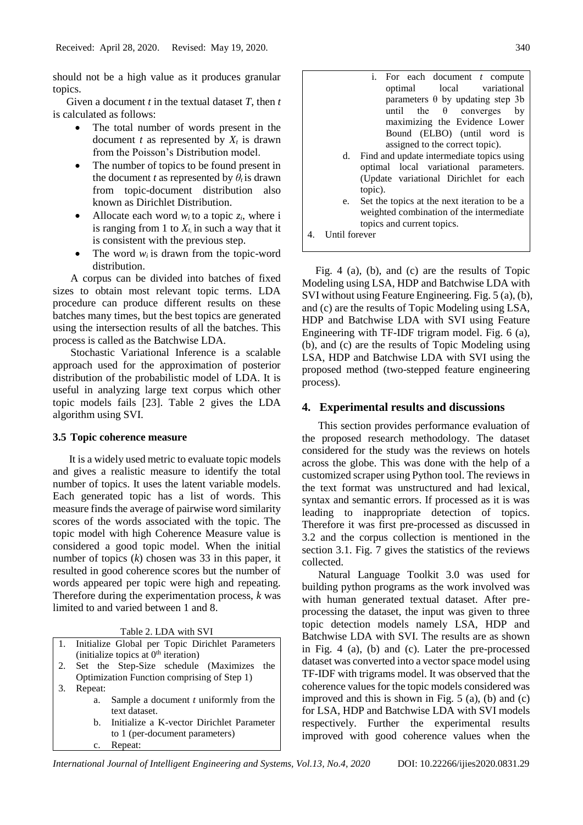should not be a high value as it produces granular topics.

 Given a document *t* in the textual dataset *T*, then *t* is calculated as follows:

- The total number of words present in the document *t* as represented by  $X_t$  is drawn from the Poisson's Distribution model.
- The number of topics to be found present in the document *t* as represented by  $\theta_t$  is drawn from topic-document distribution also known as Dirichlet Distribution.
- Allocate each word  $w_i$  to a topic  $z_i$ , where i is ranging from 1 to  $X_t$ , in such a way that it is consistent with the previous step.
- The word  $w_i$  is drawn from the topic-word distribution.

A corpus can be divided into batches of fixed sizes to obtain most relevant topic terms. LDA procedure can produce different results on these batches many times, but the best topics are generated using the intersection results of all the batches. This process is called as the Batchwise LDA.

Stochastic Variational Inference is a scalable approach used for the approximation of posterior distribution of the probabilistic model of LDA. It is useful in analyzing large text corpus which other topic models fails [23]. Table 2 gives the LDA algorithm using SVI.

# **3.5 Topic coherence measure**

It is a widely used metric to evaluate topic models and gives a realistic measure to identify the total number of topics. It uses the latent variable models. Each generated topic has a list of words. This measure finds the average of pairwise word similarity scores of the words associated with the topic. The topic model with high Coherence Measure value is considered a good topic model. When the initial number of topics (*k*) chosen was 33 in this paper, it resulted in good coherence scores but the number of words appeared per topic were high and repeating. Therefore during the experimentation process, *k* was limited to and varied between 1 and 8.

Table 2. LDA with SVI

|    | 1. Initialize Global per Topic Dirichlet Parameters |  |  |  |  |  |  |  |  |
|----|-----------------------------------------------------|--|--|--|--|--|--|--|--|
|    | (initialize topics at $0th$ iteration)              |  |  |  |  |  |  |  |  |
| 2. | Set the Step-Size schedule (Maximizes<br>the        |  |  |  |  |  |  |  |  |
|    | Optimization Function comprising of Step 1)         |  |  |  |  |  |  |  |  |
| 3. | Repeat:                                             |  |  |  |  |  |  |  |  |
|    | Sample a document t uniformly from the<br>a.        |  |  |  |  |  |  |  |  |
|    | text dataset.                                       |  |  |  |  |  |  |  |  |
|    | Initialize a K-vector Dirichlet Parameter<br>b.     |  |  |  |  |  |  |  |  |
|    | to 1 (per-document parameters)                      |  |  |  |  |  |  |  |  |
|    | Repeat:<br>$\mathbf{c}$ .                           |  |  |  |  |  |  |  |  |

|                             | i. For each document $t$ compute             |  |  |  |  |  |  |  |  |  |  |  |
|-----------------------------|----------------------------------------------|--|--|--|--|--|--|--|--|--|--|--|
|                             | optimal local variational                    |  |  |  |  |  |  |  |  |  |  |  |
|                             | parameters $\theta$ by updating step 3b      |  |  |  |  |  |  |  |  |  |  |  |
|                             | until the $\theta$ converges<br>by           |  |  |  |  |  |  |  |  |  |  |  |
|                             | maximizing the Evidence Lower                |  |  |  |  |  |  |  |  |  |  |  |
| Bound (ELBO) (until word is |                                              |  |  |  |  |  |  |  |  |  |  |  |
|                             | assigned to the correct topic).              |  |  |  |  |  |  |  |  |  |  |  |
| d.                          | Find and update intermediate topics using    |  |  |  |  |  |  |  |  |  |  |  |
|                             | optimal local variational parameters.        |  |  |  |  |  |  |  |  |  |  |  |
|                             | (Update variational Dirichlet for each       |  |  |  |  |  |  |  |  |  |  |  |
|                             | topic).                                      |  |  |  |  |  |  |  |  |  |  |  |
| e.                          | Set the topics at the next iteration to be a |  |  |  |  |  |  |  |  |  |  |  |

- weighted combination of the intermediate topics and current topics.
- 4. Until forever

 Fig. 4 (a), (b), and (c) are the results of Topic Modeling using LSA, HDP and Batchwise LDA with SVI without using Feature Engineering. Fig. 5 (a), (b), and (c) are the results of Topic Modeling using LSA, HDP and Batchwise LDA with SVI using Feature Engineering with TF-IDF trigram model. Fig. 6 (a), (b), and (c) are the results of Topic Modeling using LSA, HDP and Batchwise LDA with SVI using the proposed method (two-stepped feature engineering process).

# **4. Experimental results and discussions**

This section provides performance evaluation of the proposed research methodology. The dataset considered for the study was the reviews on hotels across the globe. This was done with the help of a customized scraper using Python tool. The reviews in the text format was unstructured and had lexical, syntax and semantic errors. If processed as it is was leading to inappropriate detection of topics. Therefore it was first pre-processed as discussed in 3.2 and the corpus collection is mentioned in the section 3.1. Fig. 7 gives the statistics of the reviews collected.

Natural Language Toolkit 3.0 was used for building python programs as the work involved was with human generated textual dataset. After preprocessing the dataset, the input was given to three topic detection models namely LSA, HDP and Batchwise LDA with SVI. The results are as shown in Fig. 4 (a), (b) and (c). Later the pre-processed dataset was converted into a vector space model using TF-IDF with trigrams model. It was observed that the coherence values for the topic models considered was improved and this is shown in Fig. 5 (a), (b) and (c) for LSA, HDP and Batchwise LDA with SVI models respectively. Further the experimental results improved with good coherence values when the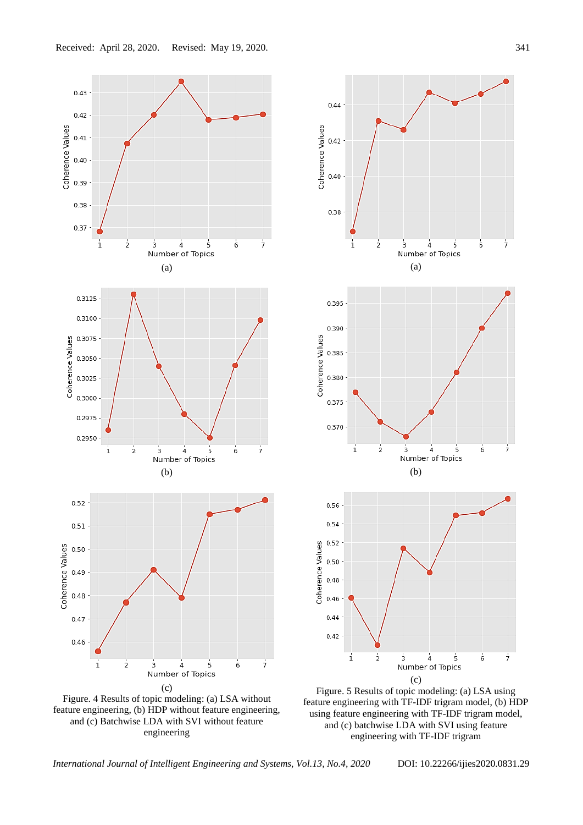



feature engineering with TF-IDF trigram model, (b) HDP using feature engineering with TF-IDF trigram model, and (c) batchwise LDA with SVI using feature engineering with TF-IDF trigram

and (c) Batchwise LDA with SVI without feature engineering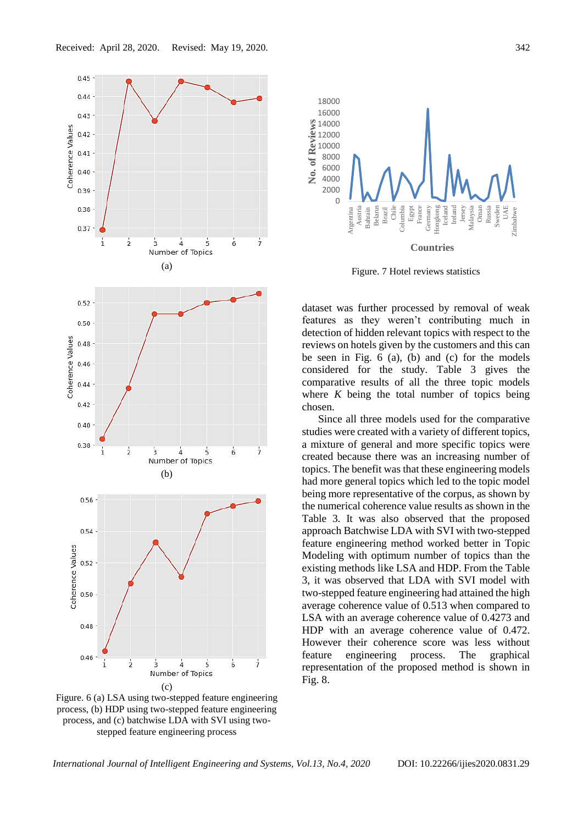

Figure. 6 (a) LSA using two-stepped feature engineering process, (b) HDP using two-stepped feature engineering process, and (c) batchwise LDA with SVI using twostepped feature engineering process



Figure. 7 Hotel reviews statistics

dataset was further processed by removal of weak features as they weren't contributing much in detection of hidden relevant topics with respect to the reviews on hotels given by the customers and this can be seen in Fig. 6 (a), (b) and (c) for the models considered for the study. Table 3 gives the comparative results of all the three topic models where *K* being the total number of topics being chosen.

Since all three models used for the comparative studies were created with a variety of different topics, a mixture of general and more specific topics were created because there was an increasing number of topics. The benefit was that these engineering models had more general topics which led to the topic model being more representative of the corpus, as shown by the numerical coherence value results as shown in the Table 3. It was also observed that the proposed approach Batchwise LDA with SVI with two-stepped feature engineering method worked better in Topic Modeling with optimum number of topics than the existing methods like LSA and HDP. From the Table 3, it was observed that LDA with SVI model with two-stepped feature engineering had attained the high average coherence value of 0.513 when compared to LSA with an average coherence value of 0.4273 and HDP with an average coherence value of 0.472. However their coherence score was less without feature engineering process. The graphical representation of the proposed method is shown in Fig. 8.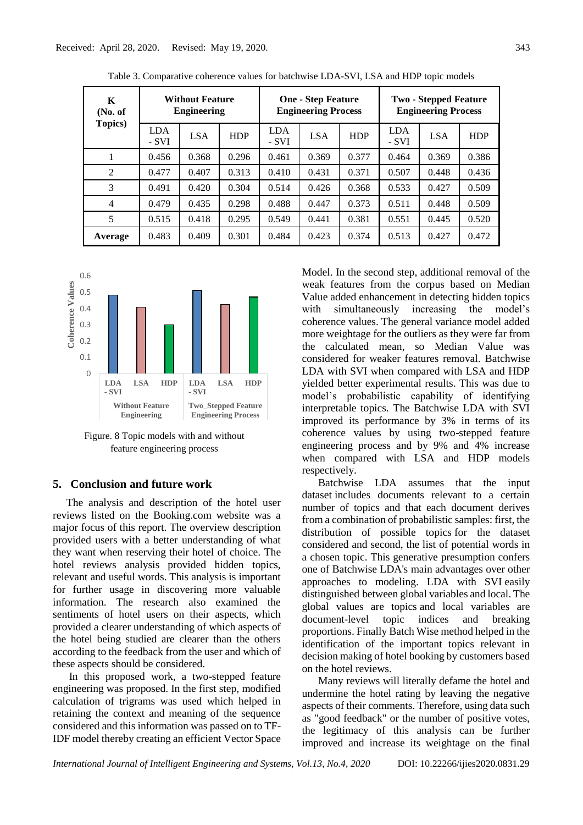| K<br>(No. of)   | <b>Without Feature</b><br><b>Engineering</b> |            |            | <b>One - Step Feature</b><br><b>Engineering Process</b> |            |            | <b>Two - Stepped Feature</b><br><b>Engineering Process</b> |            |            |
|-----------------|----------------------------------------------|------------|------------|---------------------------------------------------------|------------|------------|------------------------------------------------------------|------------|------------|
| <b>Topics</b> ) | <b>LDA</b><br>- SVI                          | <b>LSA</b> | <b>HDP</b> | <b>LDA</b><br>- SVI                                     | <b>LSA</b> | <b>HDP</b> | <b>LDA</b><br>- SVI                                        | <b>LSA</b> | <b>HDP</b> |
|                 | 0.456                                        | 0.368      | 0.296      | 0.461                                                   | 0.369      | 0.377      | 0.464                                                      | 0.369      | 0.386      |
| 2               | 0.477                                        | 0.407      | 0.313      | 0.410                                                   | 0.431      | 0.371      | 0.507                                                      | 0.448      | 0.436      |
| 3               | 0.491                                        | 0.420      | 0.304      | 0.514                                                   | 0.426      | 0.368      | 0.533                                                      | 0.427      | 0.509      |
| $\overline{4}$  | 0.479                                        | 0.435      | 0.298      | 0.488                                                   | 0.447      | 0.373      | 0.511                                                      | 0.448      | 0.509      |
| 5               | 0.515                                        | 0.418      | 0.295      | 0.549                                                   | 0.441      | 0.381      | 0.551                                                      | 0.445      | 0.520      |
| Average         | 0.483                                        | 0.409      | 0.301      | 0.484                                                   | 0.423      | 0.374      | 0.513                                                      | 0.427      | 0.472      |







# **5. Conclusion and future work**

 The analysis and description of the hotel user reviews listed on the Booking.com website was a major focus of this report. The overview description provided users with a better understanding of what they want when reserving their hotel of choice. The hotel reviews analysis provided hidden topics, relevant and useful words. This analysis is important for further usage in discovering more valuable information. The research also examined the sentiments of hotel users on their aspects, which provided a clearer understanding of which aspects of the hotel being studied are clearer than the others according to the feedback from the user and which of these aspects should be considered.

In this proposed work, a two-stepped feature engineering was proposed. In the first step, modified calculation of trigrams was used which helped in retaining the context and meaning of the sequence considered and this information was passed on to TF-IDF model thereby creating an efficient Vector Space Model. In the second step, additional removal of the weak features from the corpus based on Median Value added enhancement in detecting hidden topics with simultaneously increasing the model's coherence values. The general variance model added more weightage for the outliers as they were far from the calculated mean, so Median Value was considered for weaker features removal. Batchwise LDA with SVI when compared with LSA and HDP yielded better experimental results. This was due to model's probabilistic capability of identifying interpretable topics. The Batchwise LDA with SVI improved its performance by 3% in terms of its coherence values by using two-stepped feature engineering process and by 9% and 4% increase when compared with LSA and HDP models respectively.

Batchwise LDA assumes that the input dataset includes documents relevant to a certain number of topics and that each document derives from a combination of probabilistic samples: first, the distribution of possible topics for the dataset considered and second, the list of potential words in a chosen topic. This generative presumption confers one of Batchwise LDA's main advantages over other approaches to modeling. LDA with SVI easily distinguished between global variables and local. The global values are topics and local variables are document-level topic indices and breaking proportions. Finally Batch Wise method helped in the identification of the important topics relevant in decision making of hotel booking by customers based on the hotel reviews.

Many reviews will literally defame the hotel and undermine the hotel rating by leaving the negative aspects of their comments. Therefore, using data such as "good feedback" or the number of positive votes, the legitimacy of this analysis can be further improved and increase its weightage on the final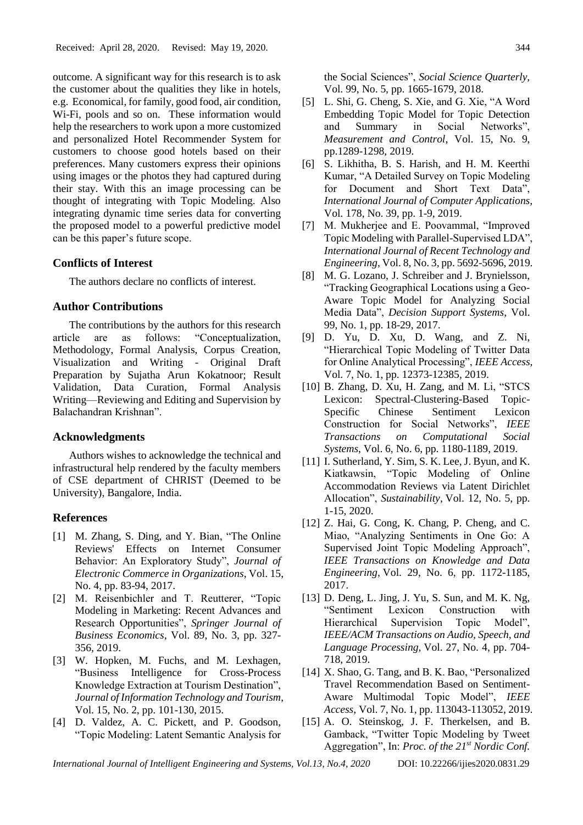outcome. A significant way for this research is to ask the customer about the qualities they like in hotels, e.g. Economical, for family, good food, air condition, Wi-Fi, pools and so on. These information would help the researchers to work upon a more customized and personalized Hotel Recommender System for customers to choose good hotels based on their preferences. Many customers express their opinions using images or the photos they had captured during their stay. With this an image processing can be thought of integrating with Topic Modeling. Also integrating dynamic time series data for converting the proposed model to a powerful predictive model can be this paper's future scope.

# **Conflicts of Interest**

The authors declare no conflicts of interest.

# **Author Contributions**

The contributions by the authors for this research article are as follows: "Conceptualization, Methodology, Formal Analysis, Corpus Creation, Visualization and Writing - Original Draft Preparation by Sujatha Arun Kokatnoor; Result Validation, Data Curation, Formal Analysis Writing—Reviewing and Editing and Supervision by Balachandran Krishnan".

# **Acknowledgments**

Authors wishes to acknowledge the technical and infrastructural help rendered by the faculty members of CSE department of CHRIST (Deemed to be University), Bangalore, India.

# **References**

- [1] M. Zhang, S. Ding, and Y. Bian, "The Online Reviews' Effects on Internet Consumer Behavior: An Exploratory Study", *Journal of Electronic Commerce in Organizations*, Vol. 15, No. 4, pp. 83-94, 2017.
- [2] M. Reisenbichler and T. Reutterer, "Topic Modeling in Marketing: Recent Advances and Research Opportunities", *Springer Journal of Business Economics,* Vol. 89, No. 3, pp. 327- 356, 2019.
- [3] W. Hopken, M. Fuchs, and M. Lexhagen, "Business Intelligence for Cross-Process Knowledge Extraction at Tourism Destination", *Journal of Information Technology and Tourism*, Vol. 15, No. 2, pp. 101-130, 2015.
- [4] D. Valdez, A. C. Pickett, and P. Goodson, "Topic Modeling: Latent Semantic Analysis for

the Social Sciences", *Social Science Quarterly,*  Vol. 99, No. 5, pp. 1665-1679, 2018.

- [5] L. Shi, G. Cheng, S. Xie, and G. Xie, "A Word Embedding Topic Model for Topic Detection and Summary in Social Networks", *Measurement and Control*, Vol. 15, No. 9, pp.1289-1298, 2019.
- [6] S. Likhitha, B. S. Harish, and H. M. Keerthi Kumar, "A Detailed Survey on Topic Modeling for Document and Short Text Data", *International Journal of Computer Applications,*  Vol. 178, No. 39, pp. 1-9, 2019.
- [7] M. Mukherjee and E. Poovammal, "Improved Topic Modeling with Parallel-Supervised LDA", *International Journal of Recent Technology and Engineering*, Vol. 8, No. 3, pp. 5692-5696, 2019.
- [8] M. G. Lozano, J. Schreiber and J. Brynielsson, "Tracking Geographical Locations using a Geo-Aware Topic Model for Analyzing Social Media Data", *Decision Support Systems*, Vol. 99, No. 1, pp. 18-29, 2017.
- [9] D. Yu, D. Xu, D. Wang, and Z. Ni, "Hierarchical Topic Modeling of Twitter Data for Online Analytical Processing", *IEEE Access*, Vol. 7, No. 1, pp. 12373-12385, 2019.
- [10] B. Zhang, D. Xu, H. Zang, and M. Li, "STCS Lexicon: Spectral-Clustering-Based Topic-Specific Chinese Sentiment Lexicon Construction for Social Networks", *IEEE Transactions on Computational Social Systems*, Vol. 6, No. 6, pp. 1180-1189, 2019.
- [11] I. Sutherland, Y. Sim, S. K. Lee, J. Byun, and K. Kiatkawsin, "Topic Modeling of Online Accommodation Reviews via Latent Dirichlet Allocation", *Sustainability*, Vol. 12, No. 5, pp. 1-15, 2020.
- [12] Z. Hai, G. Cong, K. Chang, P. Cheng, and C. Miao, "Analyzing Sentiments in One Go: A Supervised Joint Topic Modeling Approach", *IEEE Transactions on Knowledge and Data Engineering*, Vol. 29, No. 6, pp. 1172-1185, 2017.
- [13] D. Deng, L. Jing, J. Yu, S. Sun, and M. K. Ng, "Sentiment Lexicon Construction with Hierarchical Supervision Topic Model", *IEEE/ACM Transactions on Audio, Speech, and Language Processing*, Vol. 27, No. 4, pp. 704- 718, 2019.
- [14] X. Shao, G. Tang, and B. K. Bao, "Personalized Travel Recommendation Based on Sentiment-Aware Multimodal Topic Model", *IEEE Access*, Vol. 7, No. 1, pp. 113043-113052, 2019.
- [15] A. O. Steinskog, J. F. Therkelsen, and B. Gamback, "Twitter Topic Modeling by Tweet Aggregation", In: *Proc. of the 21st Nordic Conf.*